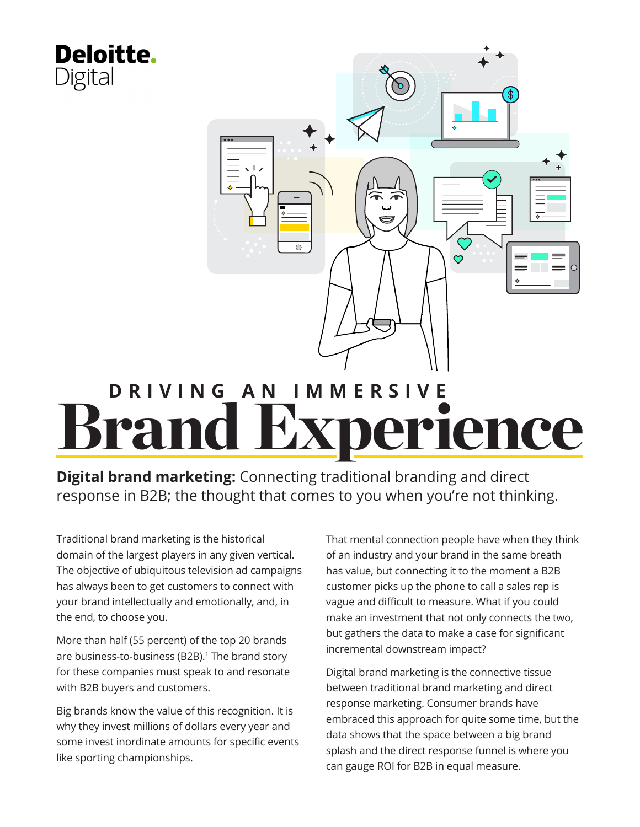<span id="page-0-0"></span>

#### **Digital brand marketing:** Connecting traditional branding and direct response in B2B; the thought that comes to you when you're not thinking.

Traditional brand marketing is the historical domain of the largest players in any given vertical. The objective of ubiquitous television ad campaigns has always been to get customers to connect with your brand intellectually and emotionally, and, in the end, to choose you.

More than half (55 percent) of the top 20 brands are business-to-business (B2B).<sup>[1](#page-8-0)</sup> The brand story for these companies must speak to and resonate with B2B buyers and customers.

Big brands know the value of this recognition. It is why they invest millions of dollars every year and some invest inordinate amounts for specific events like sporting championships.

That mental connection people have when they think of an industry and your brand in the same breath has value, but connecting it to the moment a B2B customer picks up the phone to call a sales rep is vague and difficult to measure. What if you could make an investment that not only connects the two, but gathers the data to make a case for significant incremental downstream impact?

Digital brand marketing is the connective tissue between traditional brand marketing and direct response marketing. Consumer brands have embraced this approach for quite some time, but the data shows that the space between a big brand splash and the direct response funnel is where you can gauge ROI for B2B in equal measure.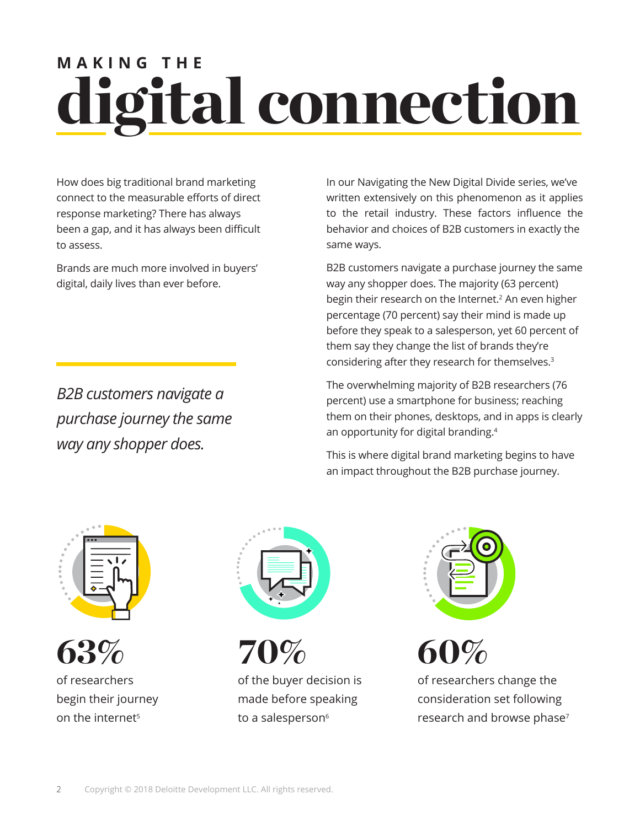## <span id="page-1-0"></span>ligital connection **MAKING THE**

How does big traditional brand marketing connect to the measurable efforts of direct response marketing? There has always been a gap, and it has always been difficult to assess.

Brands are much more involved in buyers' digital, daily lives than ever before.

*B2B customers navigate a purchase journey the same way any shopper does.*

In our Navigating the New Digital Divide series, we've written extensively on this phenomenon as it applies to the retail industry. These factors influence the behavior and choices of B2B customers in exactly the same ways.

B2B customers navigate a purchase journey the same way any shopper does. The majority (63 percent) begin their research on the Internet.<sup>[2](#page-8-0)</sup> An even higher percentage (70 percent) say their mind is made up before they speak to a salesperson, yet 60 percent of them say they change the list of brands they're considering after they research for themselves.[3](#page-8-0)

The overwhelming majority of B2B researchers (76 percent) use a smartphone for business; reaching them on their phones, desktops, and in apps is clearly an opportunity for digital branding.[4](#page-8-0)

This is where digital brand marketing begins to have an impact throughout the B2B purchase journey.





of researchers begin their journey on the internet<sup>[5](#page-8-0)</sup>



70%

of the buyer decision is made before speaking to a salesperson<sup>[6](#page-8-0)</sup>



60%

of researchers change the consideration set following research and browse phase<sup>7</sup>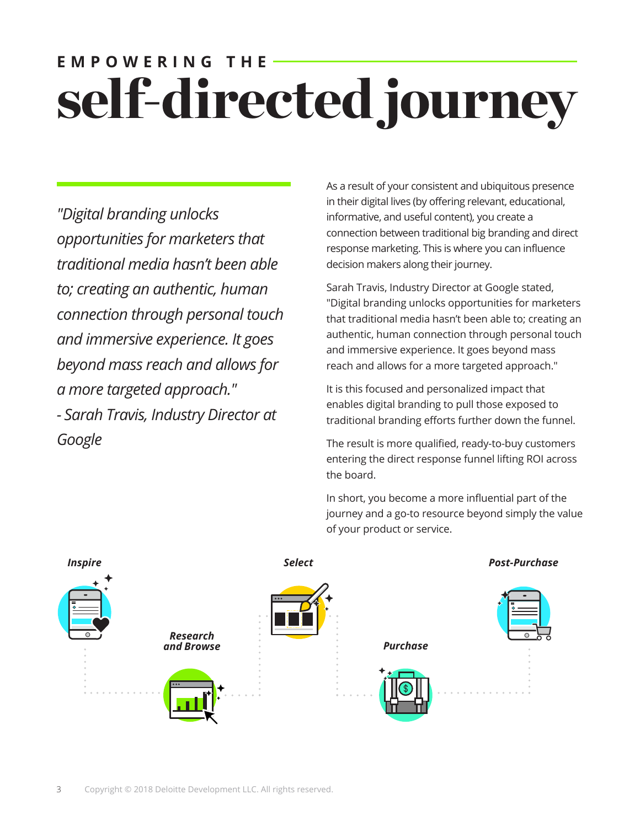### self-directed journey **EMPOWERING THE**

*"Digital branding unlocks opportunities for marketers that traditional media hasn't been able to; creating an authentic, human connection through personal touch and immersive experience. It goes beyond mass reach and allows for a more targeted approach." - Sarah Travis, Industry Director at Google*

As a result of your consistent and ubiquitous presence in their digital lives (by offering relevant, educational, informative, and useful content), you create a connection between traditional big branding and direct response marketing. This is where you can influence decision makers along their journey.

Sarah Travis, Industry Director at Google stated, "Digital branding unlocks opportunities for marketers that traditional media hasn't been able to; creating an authentic, human connection through personal touch and immersive experience. It goes beyond mass reach and allows for a more targeted approach."

It is this focused and personalized impact that enables digital branding to pull those exposed to traditional branding efforts further down the funnel.

The result is more qualified, ready-to-buy customers entering the direct response funnel lifting ROI across the board.

In short, you become a more influential part of the journey and a go-to resource beyond simply the value of your product or service.

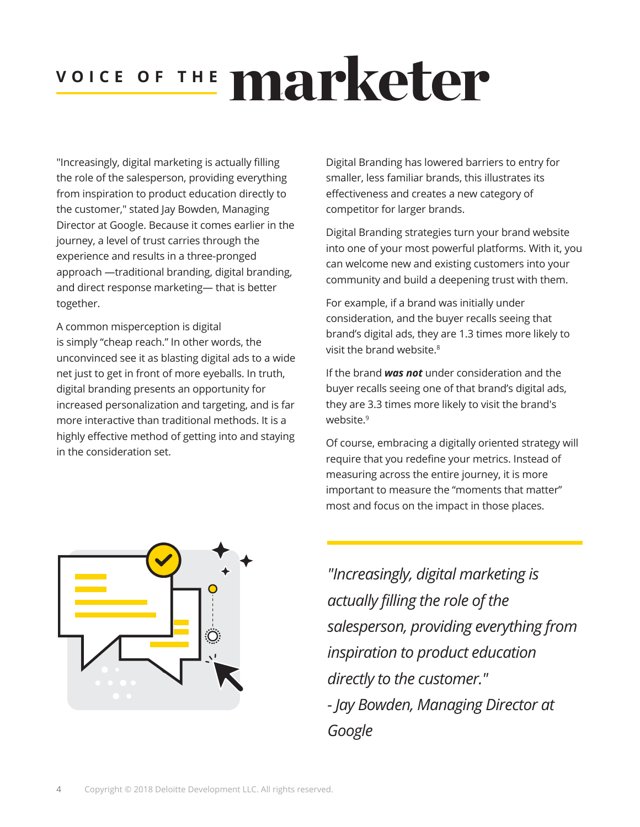## VOICE OF THE **MAPKeter**

"Increasingly, digital marketing is actually filling the role of the salesperson, providing everything from inspiration to product education directly to the customer," stated Jay Bowden, Managing Director at Google. Because it comes earlier in the journey, a level of trust carries through the experience and results in a three-pronged approach —traditional branding, digital branding, and direct response marketing— that is better together.

A common misperception is digital is simply "cheap reach." In other words, the unconvinced see it as blasting digital ads to a wide net just to get in front of more eyeballs. In truth, digital branding presents an opportunity for increased personalization and targeting, and is far more interactive than traditional methods. It is a highly effective method of getting into and staying in the consideration set.

Digital Branding has lowered barriers to entry for smaller, less familiar brands, this illustrates its effectiveness and creates a new category of competitor for larger brands.

Digital Branding strategies turn your brand website into one of your most powerful platforms. With it, you can welcome new and existing customers into your community and build a deepening trust with them.

For example, if a brand was initially under consideration, and the buyer recalls seeing that brand's digital ads, they are 1.3 times more likely to visit the brand website.<sup>[8](#page-8-0)</sup>

If the brand *was not* under consideration and the buyer recalls seeing one of that brand's digital ads, they are 3.3 times more likely to visit the brand's website.<sup>[9](#page-8-0)</sup>

Of course, embracing a digitally oriented strategy will require that you redefine your metrics. Instead of measuring across the entire journey, it is more important to measure the "moments that matter" most and focus on the impact in those places.



*"Increasingly, digital marketing is actually filling the role of the salesperson, providing everything from inspiration to product education directly to the customer." - Jay Bowden, Managing Director at Google*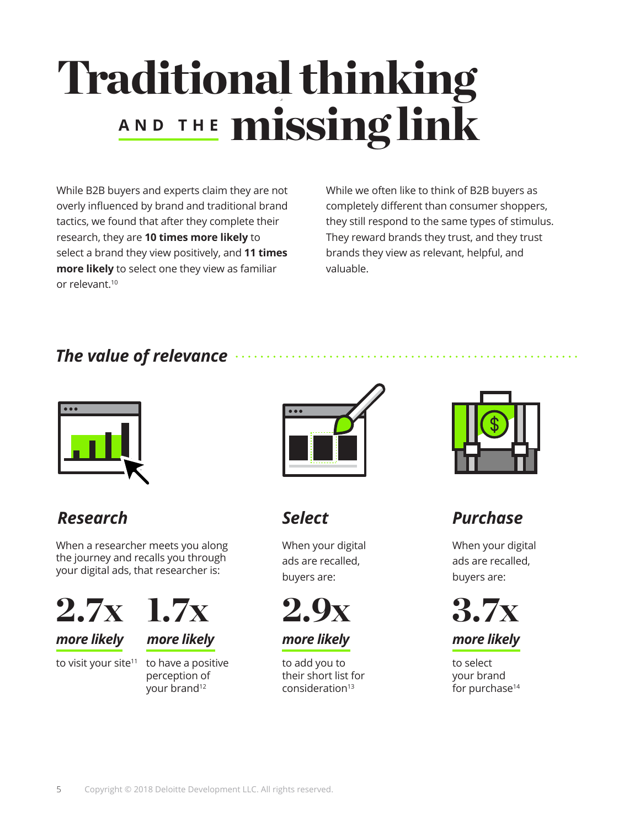## <span id="page-4-0"></span>Traditional thinking **AND THE missing link**

While B2B buyers and experts claim they are not overly influenced by brand and traditional brand tactics, we found that after they complete their research, they are **10 times more likely** to select a brand they view positively, and **11 times more likely** to select one they view as familiar or relevant.[10](#page-8-0)

While we often like to think of B2B buyers as completely different than consumer shoppers, they still respond to the same types of stimulus. They reward brands they trust, and they trust brands they view as relevant, helpful, and valuable.

#### *The value of relevance*



#### *Research*

When a researcher meets you along the journey and recalls you through your digital ads, that researcher is:



#### *more likely*



to visit your site<sup>11</sup> to have a positive perception of your brand<sup>[12](#page-8-0)</sup>



*Select*

When your digital ads are recalled, buyers are:



*more likely* 

to add you to their short list for consideration<sup>[13](#page-8-0)</sup>



#### *Purchase*

When your digital ads are recalled, buyers are:





to select your brand for purchase<sup>14</sup>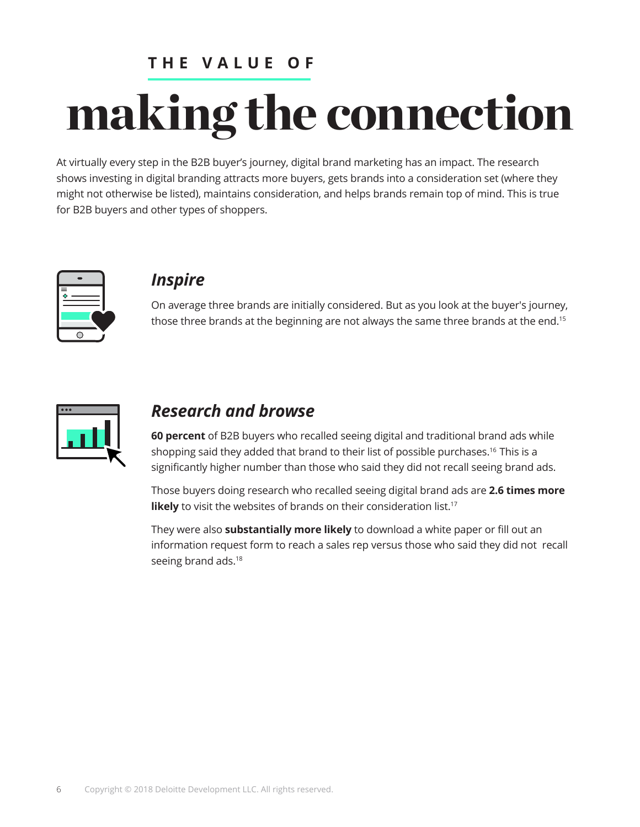#### **THE VALUE OF**

# <span id="page-5-0"></span>making the connection

At virtually every step in the B2B buyer's journey, digital brand marketing has an impact. The research shows investing in digital branding attracts more buyers, gets brands into a consideration set (where they might not otherwise be listed), maintains consideration, and helps brands remain top of mind. This is true for B2B buyers and other types of shoppers.



#### *Inspire*

On average three brands are initially considered. But as you look at the buyer's journey, those three brands at the beginning are not always the same three brands at the end.<sup>[15](#page-8-0)</sup>



#### *Research and browse*

**60 percent** of B2B buyers who recalled seeing digital and traditional brand ads while shopping said they added that brand to their list of possible purchases.<sup>[16](#page-8-0)</sup> This is a significantly higher number than those who said they did not recall seeing brand ads.

Those buyers doing research who recalled seeing digital brand ads are **2.6 times more likely** to visit the websites of brands on their consideration list.<sup>[17](#page-8-0)</sup>

They were also **substantially more likely** to download a white paper or fill out an information request form to reach a sales rep versus those who said they did not recall seeing brand ads.<sup>[18](#page-8-0)</sup>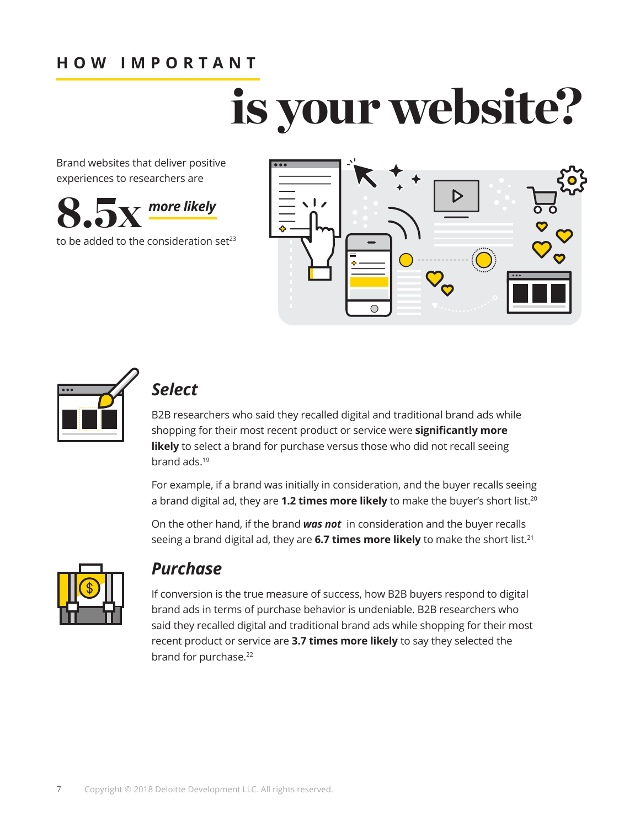#### <span id="page-6-0"></span>**HOW IMPORTANT**

# is your website?

Brand websites that deliver positive experiences to researchers are



to be added to the consideration set $23$ 





#### *Select*

B2B researchers who said they recalled digital and traditional brand ads while shopping for their most recent product or service were **significantly more**  likely to select a brand for purchase versus those who did not recall seeing brand ads.[19](#page-8-0)

For example, if a brand was initially in consideration, and the buyer recalls seeing a brand digital ad, they are **1.2 times more likely** to make the buyer's short list.<sup>[20](#page-8-0)</sup>

On the other hand, if the brand *was not* in consideration and the buyer recalls seeing a brand digital ad, they are 6.7 times more likely to make the short list.<sup>21</sup>



#### *Purchase*

If conversion is the true measure of success, how B2B buyers respond to digital brand ads in terms of purchase behavior is undeniable. B2B researchers who said they recalled digital and traditional brand ads while shopping for their most recent product or service are **3.7 times more likely** to say they selected the brand for purchase.<sup>[22](#page-8-0)</sup>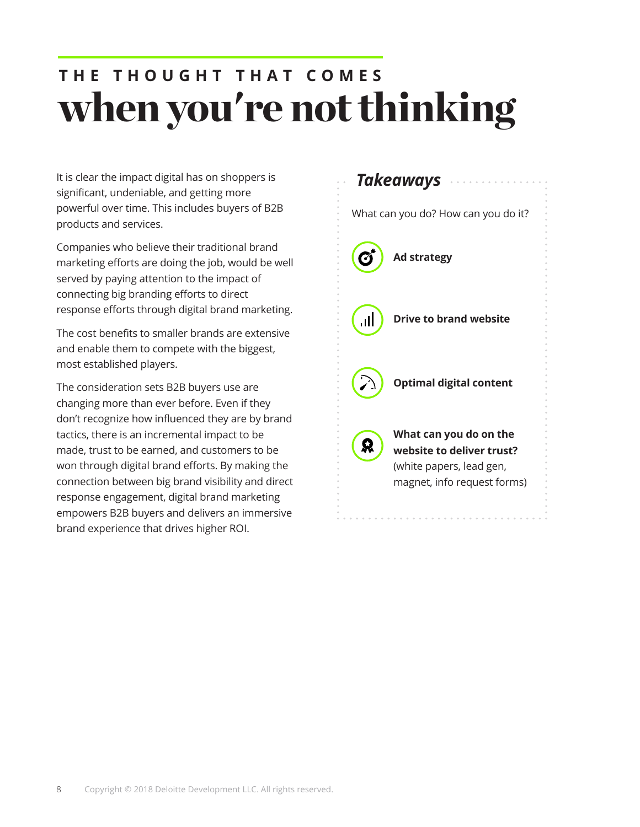### when you're not thinking **T H E T H O U G H T T H A T C O M E S**

It is clear the impact digital has on shoppers is significant, undeniable, and getting more powerful over time. This includes buyers of B2B products and services.

Companies who believe their traditional brand marketing efforts are doing the job, would be well served by paying attention to the impact of connecting big branding efforts to direct response efforts through digital brand marketing.

The cost benefits to smaller brands are extensive and enable them to compete with the biggest, most established players.

The consideration sets B2B buyers use are changing more than ever before. Even if they don't recognize how influenced they are by brand tactics, there is an incremental impact to be made, trust to be earned, and customers to be won through digital brand efforts. By making the connection between big brand visibility and direct response engagement, digital brand marketing empowers B2B buyers and delivers an immersive brand experience that drives higher ROI.